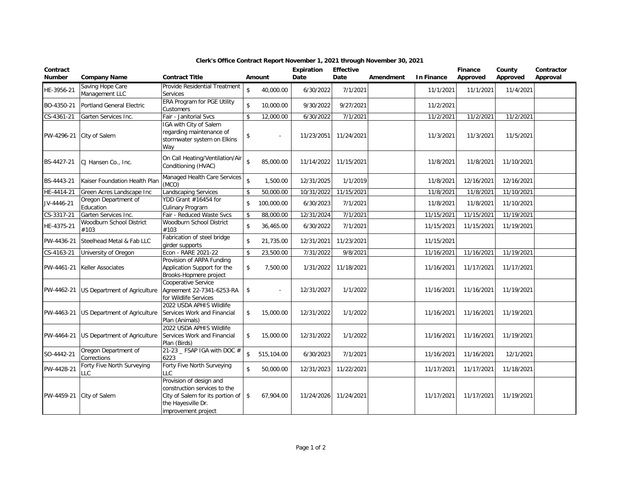| Contract<br><b>Number</b> | <b>Company Name</b>                 | <b>Contract Title</b>                                                                                                                    |                    | Amount     | Expiration<br>Date | <b>Effective</b><br>Date | Amendment | <b>In Finance</b> | <b>Finance</b><br>Approved | County<br>Approved | Contractor<br>Approval |
|---------------------------|-------------------------------------|------------------------------------------------------------------------------------------------------------------------------------------|--------------------|------------|--------------------|--------------------------|-----------|-------------------|----------------------------|--------------------|------------------------|
| HE-3956-21                | Saving Hope Care<br>Management LLC  | Provide Residential Treatment<br><b>Services</b>                                                                                         | \$                 | 40,000.00  | 6/30/2022          | 7/1/2021                 |           | 11/1/2021         | 11/1/2021                  | 11/4/2021          |                        |
| BO-4350-21                | <b>Portland General Electric</b>    | ERA Program for PGE Utility<br>Customers                                                                                                 | \$                 | 10,000.00  | 9/30/2022          | 9/27/2021                |           | 11/2/2021         |                            |                    |                        |
| CS-4361-21                | Garten Services Inc.                | Fair - Janitorial Svcs                                                                                                                   | \$                 | 12,000.00  | 6/30/2022          | 7/1/2021                 |           | 11/2/2021         | 11/2/2021                  | 11/2/2021          |                        |
| PW-4296-21                | City of Salem                       | IGA with City of Salem<br>regarding maintenance of<br>stormwater system on Elkins<br>Way                                                 | \$                 |            | 11/23/2051         | 11/24/2021               |           | 11/3/2021         | 11/3/2021                  | 11/5/2021          |                        |
| BS-4427-21                | CJ Hansen Co., Inc.                 | On Call Heating/Ventilation/Air<br>Conditioning (HVAC)                                                                                   | $\hat{\mathbf{S}}$ | 85,000.00  | 11/14/2022         | 11/15/2021               |           | 11/8/2021         | 11/8/2021                  | 11/10/2021         |                        |
| BS-4443-21                | Kaiser Foundation Health Plan       | Managed Health Care Services<br>(MCO)                                                                                                    | $\mathbf{\hat{S}}$ | 1,500.00   | 12/31/2025         | 1/1/2019                 |           | 11/8/2021         | 12/16/2021                 | 12/16/2021         |                        |
| HE-4414-21                | Green Acres Landscape Inc           | <b>Landscaping Services</b>                                                                                                              | \$                 | 50,000.00  | 10/31/2022         | 11/15/2021               |           | 11/8/2021         | 11/8/2021                  | 11/10/2021         |                        |
| JV-4446-21                | Oregon Department of<br>Education   | YDD Grant #16454 for<br><b>Culinary Program</b>                                                                                          | $\mathbf{\hat{S}}$ | 100,000.00 | 6/30/2023          | 7/1/2021                 |           | 11/8/2021         | 11/8/2021                  | 11/10/2021         |                        |
| CS-3317-21                | Garten Services Inc.                | Fair - Reduced Waste Svcs                                                                                                                | \$                 | 88,000.00  | 12/31/2024         | $\frac{1}{7}$ 1/2021     |           | 11/15/2021        | 11/15/2021                 | 11/19/2021         |                        |
| HE-4375-21                | Woodburn School District<br>#103    | Woodburn School District<br>#103                                                                                                         | \$                 | 36,465.00  | 6/30/2022          | 7/1/2021                 |           | 11/15/2021        | 11/15/2021                 | 11/19/2021         |                        |
| PW-4436-21                | Steelhead Metal & Fab LLC           | Fabrication of steel bridge<br>girder supports                                                                                           | $\mathbf{\hat{S}}$ | 21,735.00  | 12/31/2021         | 11/23/2021               |           | 11/15/2021        |                            |                    |                        |
| CS-4163-21                | University of Oregon                | Econ - RARE 2021-22                                                                                                                      | \$                 | 23,500.00  | 7/31/2022          | 9/8/2021                 |           | 11/16/2021        | 11/16/2021                 | 11/19/2021         |                        |
| PW-4461-21                | Keller Associates                   | Provision of ARPA Funding<br>Application Support for the<br>Brooks-Hopmere project                                                       | \$                 | 7,500.00   | 1/31/2022          | 11/18/2021               |           | 11/16/2021        | 11/17/2021                 | 11/17/2021         |                        |
| PW-4462-21                | US Department of Agriculture        | Cooperative Service<br>Agreement 22-7341-6253-RA<br>for Wildlife Services                                                                | \$                 |            | 12/31/2027         | 1/1/2022                 |           | 11/16/2021        | 11/16/2021                 | 11/19/2021         |                        |
| PW-4463-21                | US Department of Agriculture        | 2022 USDA APHIS Wildlife<br>Services Work and Financial<br>Plan (Animals)                                                                | \$                 | 15,000.00  | 12/31/2022         | 1/1/2022                 |           | 11/16/2021        | 11/16/2021                 | 11/19/2021         |                        |
| PW-4464-21                | US Department of Agriculture        | 2022 USDA APHIS Wildlife<br>Services Work and Financial<br>Plan (Birds)                                                                  | \$                 | 15,000.00  | 12/31/2022         | 1/1/2022                 |           | 11/16/2021        | 11/16/2021                 | 11/19/2021         |                        |
| SO-4442-21                | Oregon Department of<br>Corrections | 21-23 _ FSAP $\overline{1}$ GA with DOC #<br>6223                                                                                        | \$                 | 515,104.00 | 6/30/2023          | 7/1/2021                 |           | 11/16/2021        | 11/16/2021                 | 12/1/2021          |                        |
| PW-4428-21                | Forty Five North Surveying<br>LC.   | Forty Five North Surveying<br>LLC.                                                                                                       | \$                 | 50,000.00  | 12/31/2023         | 11/22/2021               |           | 11/17/2021        | 11/17/2021                 | 11/18/2021         |                        |
| PW-4459-21                | City of Salem                       | Provision of design and<br>construction services to the<br>City of Salem for its portion of<br>the Hayesville Dr.<br>improvement project | \$                 | 67,904.00  | 11/24/2026         | 11/24/2021               |           | 11/17/2021        | 11/17/2021                 | 11/19/2021         |                        |

## **Clerk's Office Contract Report November 1, 2021 through November 30, 2021**